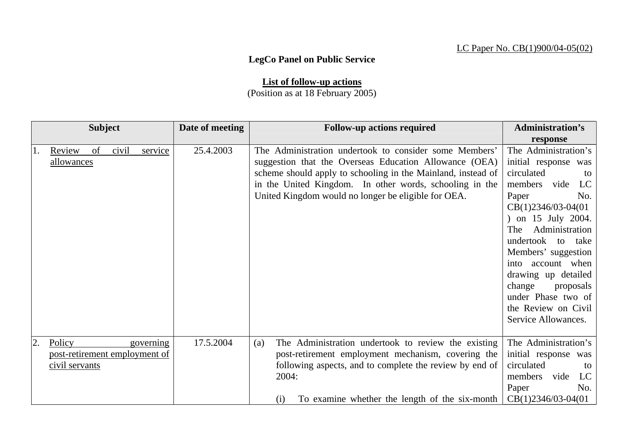## LC Paper No. CB(1)900/04-05(02)

## **LegCo Panel on Public Service**

**List of follow-up actions** (Position as at 18 February 2005)

| <b>Subject</b> |                                                           |       | Date of meeting | <b>Follow-up actions required</b> | <b>Administration's</b>                                                                                                                                                                                                                                                                            |                                                                                                                                                                                                                                                                                                                                                                   |
|----------------|-----------------------------------------------------------|-------|-----------------|-----------------------------------|----------------------------------------------------------------------------------------------------------------------------------------------------------------------------------------------------------------------------------------------------------------------------------------------------|-------------------------------------------------------------------------------------------------------------------------------------------------------------------------------------------------------------------------------------------------------------------------------------------------------------------------------------------------------------------|
|                |                                                           |       |                 |                                   |                                                                                                                                                                                                                                                                                                    | response                                                                                                                                                                                                                                                                                                                                                          |
| 1.             | of<br>Review<br>allowances                                | civil | service         | 25.4.2003                         | The Administration undertook to consider some Members'<br>suggestion that the Overseas Education Allowance (OEA)<br>scheme should apply to schooling in the Mainland, instead of<br>in the United Kingdom. In other words, schooling in the<br>United Kingdom would no longer be eligible for OEA. | The Administration's<br>initial response was<br>circulated<br>to<br>members vide<br>LC<br>Paper<br>No.<br>$CB(1)2346/03-04(01)$<br>) on 15 July 2004.<br>Administration<br>The<br>undertook to take<br>Members' suggestion<br>into account when<br>drawing up detailed<br>change<br>proposals<br>under Phase two of<br>the Review on Civil<br>Service Allowances. |
| 2.             | Policy<br>post-retirement employment of<br>civil servants |       | governing       | 17.5.2004                         | The Administration undertook to review the existing<br>(a)<br>post-retirement employment mechanism, covering the<br>following aspects, and to complete the review by end of<br>2004:<br>To examine whether the length of the six-month<br>(i)                                                      | The Administration's<br>initial response<br>was<br>circulated<br>to<br>members<br>vide<br>LC<br>Paper<br>No.<br>$CB(1)2346/03-04(01)$                                                                                                                                                                                                                             |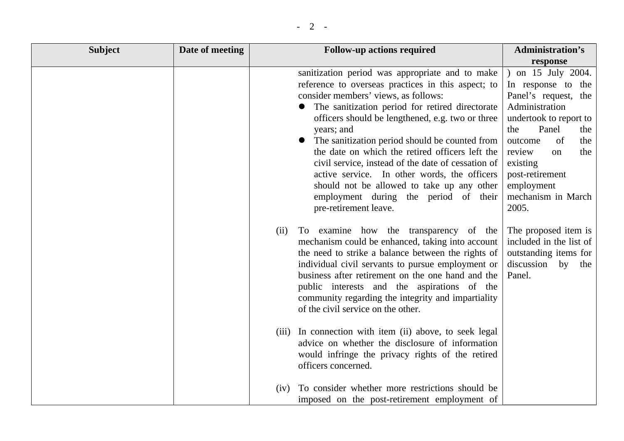| <b>Subject</b> | Date of meeting | <b>Follow-up actions required</b>                                                                                                                                                                                                                                                                                                                                                                                                                                                                                                                                                             | <b>Administration's</b>                                                                                                                                                                                                                                      |
|----------------|-----------------|-----------------------------------------------------------------------------------------------------------------------------------------------------------------------------------------------------------------------------------------------------------------------------------------------------------------------------------------------------------------------------------------------------------------------------------------------------------------------------------------------------------------------------------------------------------------------------------------------|--------------------------------------------------------------------------------------------------------------------------------------------------------------------------------------------------------------------------------------------------------------|
|                |                 |                                                                                                                                                                                                                                                                                                                                                                                                                                                                                                                                                                                               | response                                                                                                                                                                                                                                                     |
|                |                 | sanitization period was appropriate and to make<br>reference to overseas practices in this aspect; to<br>consider members' views, as follows:<br>The sanitization period for retired directorate<br>officers should be lengthened, e.g. two or three<br>years; and<br>The sanitization period should be counted from<br>the date on which the retired officers left the<br>civil service, instead of the date of cessation of<br>active service. In other words, the officers<br>should not be allowed to take up any other<br>employment during the period of their<br>pre-retirement leave. | on 15 July 2004.<br>In response to the<br>Panel's request, the<br>Administration<br>undertook to report to<br>Panel<br>the<br>the<br>of<br>the<br>outcome<br>review<br>the<br>on<br>existing<br>post-retirement<br>employment<br>mechanism in March<br>2005. |
|                |                 | (ii)<br>To examine how the transparency of the<br>mechanism could be enhanced, taking into account<br>the need to strike a balance between the rights of<br>individual civil servants to pursue employment or<br>business after retirement on the one hand and the<br>public interests and the aspirations of the<br>community regarding the integrity and impartiality<br>of the civil service on the other.                                                                                                                                                                                 | The proposed item is<br>included in the list of<br>outstanding items for<br>discussion by the<br>Panel.                                                                                                                                                      |
|                |                 | (iii) In connection with item (ii) above, to seek legal<br>advice on whether the disclosure of information<br>would infringe the privacy rights of the retired<br>officers concerned.                                                                                                                                                                                                                                                                                                                                                                                                         |                                                                                                                                                                                                                                                              |
|                |                 | To consider whether more restrictions should be<br>(iv)<br>imposed on the post-retirement employment of                                                                                                                                                                                                                                                                                                                                                                                                                                                                                       |                                                                                                                                                                                                                                                              |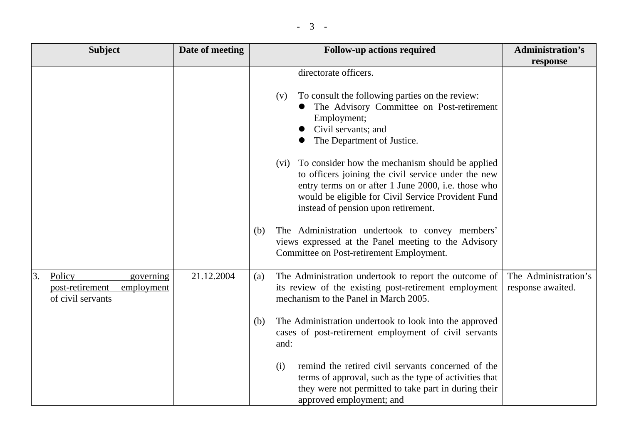|  | $\overline{\phantom{0}}$ |  |
|--|--------------------------|--|
|--|--------------------------|--|

| <b>Subject</b>                                       |                         | Date of meeting | <b>Follow-up actions required</b>                                                                                                                                                                                                                                                                                                                                                                                             | <b>Administration's</b>                   |
|------------------------------------------------------|-------------------------|-----------------|-------------------------------------------------------------------------------------------------------------------------------------------------------------------------------------------------------------------------------------------------------------------------------------------------------------------------------------------------------------------------------------------------------------------------------|-------------------------------------------|
|                                                      |                         |                 |                                                                                                                                                                                                                                                                                                                                                                                                                               | response                                  |
|                                                      |                         |                 | directorate officers.<br>To consult the following parties on the review:<br>(V)<br>The Advisory Committee on Post-retirement<br>Employment;<br>Civil servants; and<br>The Department of Justice.                                                                                                                                                                                                                              |                                           |
|                                                      |                         |                 | (vi) To consider how the mechanism should be applied<br>to officers joining the civil service under the new<br>entry terms on or after 1 June 2000, i.e. those who<br>would be eligible for Civil Service Provident Fund<br>instead of pension upon retirement.<br>The Administration undertook to convey members'<br>(b)<br>views expressed at the Panel meeting to the Advisory<br>Committee on Post-retirement Employment. |                                           |
| Policy<br>3.<br>post-retirement<br>of civil servants | governing<br>employment | 21.12.2004      | The Administration undertook to report the outcome of<br>(a)<br>its review of the existing post-retirement employment<br>mechanism to the Panel in March 2005.<br>The Administration undertook to look into the approved<br>(b)<br>cases of post-retirement employment of civil servants<br>and:                                                                                                                              | The Administration's<br>response awaited. |
|                                                      |                         |                 | remind the retired civil servants concerned of the<br>(i)<br>terms of approval, such as the type of activities that<br>they were not permitted to take part in during their<br>approved employment; and                                                                                                                                                                                                                       |                                           |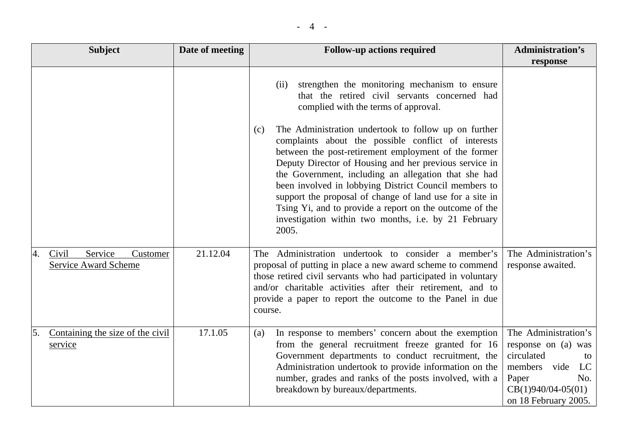|--|--|

| <b>Subject</b> |                                                                   | Date of meeting | <b>Follow-up actions required</b>                                                                                                                                                                                                                                                                                                                                                                                                                                                                                                             | <b>Administration's</b>                                                                                                                                  |
|----------------|-------------------------------------------------------------------|-----------------|-----------------------------------------------------------------------------------------------------------------------------------------------------------------------------------------------------------------------------------------------------------------------------------------------------------------------------------------------------------------------------------------------------------------------------------------------------------------------------------------------------------------------------------------------|----------------------------------------------------------------------------------------------------------------------------------------------------------|
|                |                                                                   |                 |                                                                                                                                                                                                                                                                                                                                                                                                                                                                                                                                               | response                                                                                                                                                 |
|                |                                                                   |                 | strengthen the monitoring mechanism to ensure<br>(ii)<br>that the retired civil servants concerned had<br>complied with the terms of approval.                                                                                                                                                                                                                                                                                                                                                                                                |                                                                                                                                                          |
|                |                                                                   |                 | The Administration undertook to follow up on further<br>(c)<br>complaints about the possible conflict of interests<br>between the post-retirement employment of the former<br>Deputy Director of Housing and her previous service in<br>the Government, including an allegation that she had<br>been involved in lobbying District Council members to<br>support the proposal of change of land use for a site in<br>Tsing Yi, and to provide a report on the outcome of the<br>investigation within two months, i.e. by 21 February<br>2005. |                                                                                                                                                          |
|                | Service<br>Civil<br>Customer<br>4.<br><b>Service Award Scheme</b> | 21.12.04        | The Administration undertook to consider a member's<br>proposal of putting in place a new award scheme to commend<br>those retired civil servants who had participated in voluntary<br>and/or charitable activities after their retirement, and to<br>provide a paper to report the outcome to the Panel in due<br>course.                                                                                                                                                                                                                    | The Administration's<br>response awaited.                                                                                                                |
|                | Containing the size of the civil<br>5.<br>service                 | 17.1.05         | In response to members' concern about the exemption<br>(a)<br>from the general recruitment freeze granted for 16<br>Government departments to conduct recruitment, the<br>Administration undertook to provide information on the<br>number, grades and ranks of the posts involved, with a<br>breakdown by bureaux/departments.                                                                                                                                                                                                               | The Administration's<br>response on (a) was<br>circulated<br>to<br>members<br>vide<br>LC<br>No.<br>Paper<br>$CB(1)940/04-05(01)$<br>on 18 February 2005. |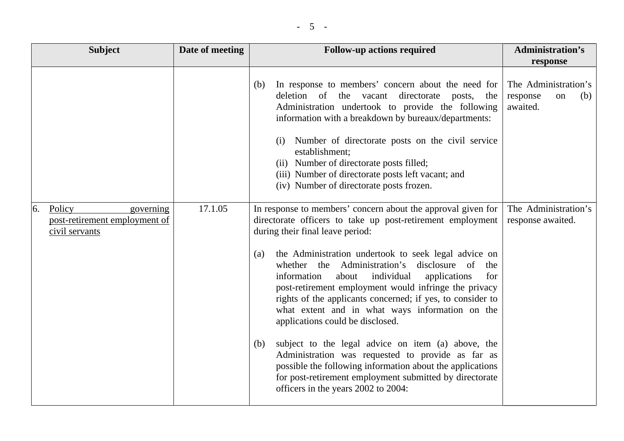| - |
|---|
|---|

| <b>Subject</b>                                                               | Date of meeting | <b>Follow-up actions required</b>                                                                                                                                                                                                                                                                                                                                                                                                                                                                                                                                                                                                                                                                                                                                                                                                                 | <b>Administration's</b><br>response                       |
|------------------------------------------------------------------------------|-----------------|---------------------------------------------------------------------------------------------------------------------------------------------------------------------------------------------------------------------------------------------------------------------------------------------------------------------------------------------------------------------------------------------------------------------------------------------------------------------------------------------------------------------------------------------------------------------------------------------------------------------------------------------------------------------------------------------------------------------------------------------------------------------------------------------------------------------------------------------------|-----------------------------------------------------------|
|                                                                              |                 | In response to members' concern about the need for<br>(b)<br>deletion of the vacant<br>directorate<br>posts, the<br>Administration undertook to provide the following<br>information with a breakdown by bureaux/departments:<br>(i) Number of directorate posts on the civil service<br>establishment;<br>(ii) Number of directorate posts filled;<br>(iii) Number of directorate posts left vacant; and<br>(iv) Number of directorate posts frozen.                                                                                                                                                                                                                                                                                                                                                                                             | The Administration's<br>response<br>(b)<br>on<br>awaited. |
| Policy<br>6.<br>governing<br>post-retirement employment of<br>civil servants | 17.1.05         | In response to members' concern about the approval given for<br>directorate officers to take up post-retirement employment<br>during their final leave period:<br>the Administration undertook to seek legal advice on<br>(a)<br>whether the Administration's<br>disclosure of<br>the<br>individual<br>applications<br>information<br>for<br>about<br>post-retirement employment would infringe the privacy<br>rights of the applicants concerned; if yes, to consider to<br>what extent and in what ways information on the<br>applications could be disclosed.<br>subject to the legal advice on item (a) above, the<br>(b)<br>Administration was requested to provide as far as<br>possible the following information about the applications<br>for post-retirement employment submitted by directorate<br>officers in the years 2002 to 2004: | The Administration's<br>response awaited.                 |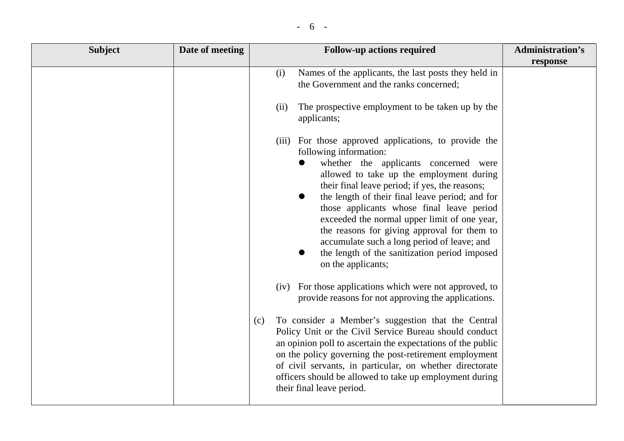|  | $\overline{\phantom{a}}$ |  |
|--|--------------------------|--|
|--|--------------------------|--|

| <b>Subject</b> | Date of meeting | <b>Follow-up actions required</b>                                                                                                                                                                                                                                                                                                                                                                                                                                                                                                                                                                                                                                                                                                                                                                                                                                                                                                                                                                                                                                                           | <b>Administration's</b> |
|----------------|-----------------|---------------------------------------------------------------------------------------------------------------------------------------------------------------------------------------------------------------------------------------------------------------------------------------------------------------------------------------------------------------------------------------------------------------------------------------------------------------------------------------------------------------------------------------------------------------------------------------------------------------------------------------------------------------------------------------------------------------------------------------------------------------------------------------------------------------------------------------------------------------------------------------------------------------------------------------------------------------------------------------------------------------------------------------------------------------------------------------------|-------------------------|
|                |                 |                                                                                                                                                                                                                                                                                                                                                                                                                                                                                                                                                                                                                                                                                                                                                                                                                                                                                                                                                                                                                                                                                             | response                |
|                |                 | Names of the applicants, the last posts they held in<br>(i)<br>the Government and the ranks concerned;                                                                                                                                                                                                                                                                                                                                                                                                                                                                                                                                                                                                                                                                                                                                                                                                                                                                                                                                                                                      |                         |
|                |                 | The prospective employment to be taken up by the<br>(ii)<br>applicants;                                                                                                                                                                                                                                                                                                                                                                                                                                                                                                                                                                                                                                                                                                                                                                                                                                                                                                                                                                                                                     |                         |
|                |                 | (iii) For those approved applications, to provide the<br>following information:<br>whether the applicants concerned were<br>$\bullet$<br>allowed to take up the employment during<br>their final leave period; if yes, the reasons;<br>the length of their final leave period; and for<br>$\bullet$<br>those applicants whose final leave period<br>exceeded the normal upper limit of one year,<br>the reasons for giving approval for them to<br>accumulate such a long period of leave; and<br>the length of the sanitization period imposed<br>on the applicants;<br>(iv) For those applications which were not approved, to<br>provide reasons for not approving the applications.<br>To consider a Member's suggestion that the Central<br>(c)<br>Policy Unit or the Civil Service Bureau should conduct<br>an opinion poll to ascertain the expectations of the public<br>on the policy governing the post-retirement employment<br>of civil servants, in particular, on whether directorate<br>officers should be allowed to take up employment during<br>their final leave period. |                         |